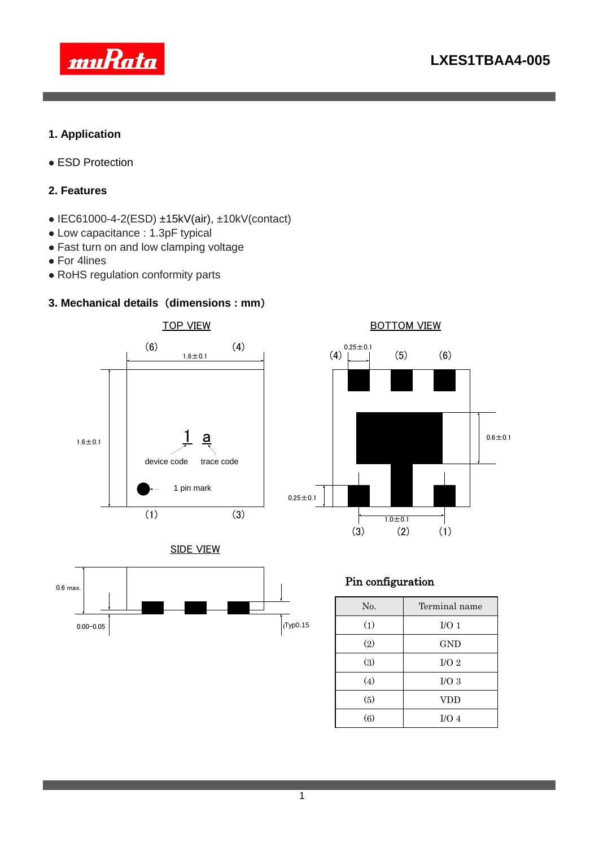

### **1. Application**

● ESD Protection

### **2. Features**

- $\bullet$  IEC61000-4-2(ESD) ±15kV(air), ±10kV(contact)
- Low capacitance : 1.3pF typical
- Fast turn on and low clamping voltage
- For 4lines
- RoHS regulation conformity parts

### **3. Mechanical details** (**dimensions : mm**)





BOTTOM VIEW





## Pin configuration

| No. | Terminal name    |  |  |  |
|-----|------------------|--|--|--|
| (1) | I/O <sub>1</sub> |  |  |  |
| (2) | GND              |  |  |  |
| (3) | I/O <sub>2</sub> |  |  |  |
| (4) | $I/O$ 3          |  |  |  |
| (5) | <b>VDD</b>       |  |  |  |
| (6) | I/O <sub>4</sub> |  |  |  |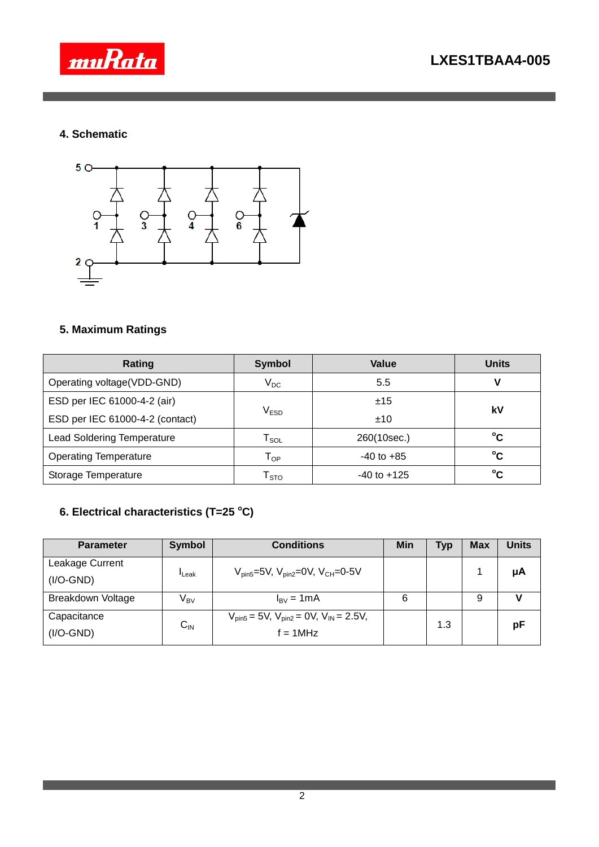

# **4. Schematic**



# **5. Maximum Ratings**

| Rating                            | <b>Symbol</b>                              | Value           | <b>Units</b> |  |
|-----------------------------------|--------------------------------------------|-----------------|--------------|--|
| Operating voltage(VDD-GND)        | $\rm V_{DC}$                               | 5.5             | V            |  |
| ESD per IEC 61000-4-2 (air)       |                                            | ±15             | kV           |  |
| ESD per IEC 61000-4-2 (contact)   | $\mathsf{V}_{\mathsf{ESD}}$                | ±10             |              |  |
| <b>Lead Soldering Temperature</b> | 260(10sec.)<br>$\mathsf{T}_{\mathsf{SOL}}$ |                 | °C           |  |
| <b>Operating Temperature</b>      | $-40$ to $+85$<br>Тор                      |                 | °C           |  |
| Storage Temperature               | $\mathsf{T}_{\text{STO}}$                  | $-40$ to $+125$ | °C           |  |

# **6. Electrical characteristics (T=25 <sup>o</sup>C)**

| <b>Parameter</b>   | <b>Symbol</b>     | <b>Conditions</b>                                     | Min | <b>Typ</b> | <b>Max</b> | Units |
|--------------------|-------------------|-------------------------------------------------------|-----|------------|------------|-------|
| Leakage Current    | <sup>I</sup> Leak | $V_{pin5} = 5V$ , $V_{pin2} = 0V$ , $V_{CH} = 0.5V$   |     |            |            |       |
| $(I/O\text{-}GND)$ |                   |                                                       |     |            |            | μA    |
| Breakdown Voltage  | V <sub>BV</sub>   | $I_{\rm BV} = 1 \text{mA}$                            | 6   |            | 9          |       |
| Capacitance        | $C_{\text{IN}}$   | $V_{pin5} = 5V$ , $V_{pin2} = 0V$ , $V_{IN} = 2.5V$ , |     | 1.3        |            | pF    |
| $(I/O\text{-}GND)$ |                   | $f = 1MHz$                                            |     |            |            |       |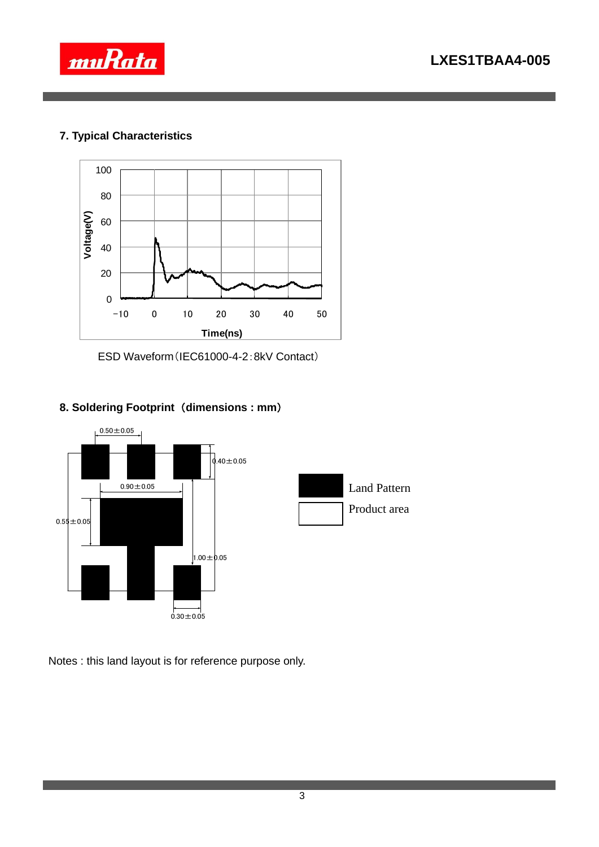



## **7. Typical Characteristics**



ESD Waveform(IEC61000-4-2:8kV Contact)

## **8. Soldering Footprint** (**dimensions : mm**)



Notes : this land layout is for reference purpose only.